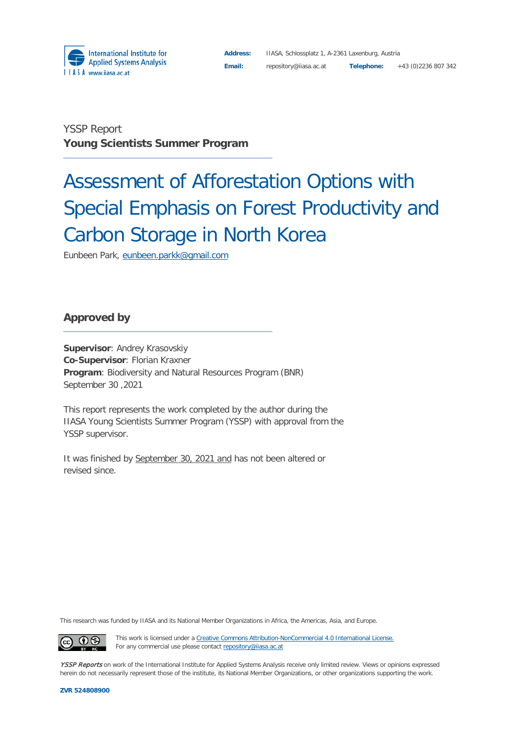

**Address:** IIASA, Schlossplatz 1, A-2361 Laxenburg, Austria **Email:** repository@iiasa.ac.at **Telephone:** +43 (0)2236 807 342

YSSP Report **Young Scientists Summer Program**

# Assessment of Afforestation Options with Special Emphasis on Forest Productivity and Carbon Storage in North Korea

Eunbeen Park, [eunbeen.parkk@gmail.com](mailto:eunbeen.parkk@gmail.com)

### **Approved by**

**Supervisor**: Andrey Krasovskiy **Co-Supervisor**: Florian Kraxner **Program**: Biodiversity and Natural Resources Program (BNR) September 30 ,2021

This report represents the work completed by the author during the IIASA Young Scientists Summer Program (YSSP) with approval from the YSSP supervisor.

It was finished by September 30, 2021 and has not been altered or revised since.

This research was funded by IIASA and its National Member Organizations in Africa, the Americas, Asia, and Europe.

 $\odot$  $\left(\mathrm{cc}\right)$ 

This work is licensed under a [Creative Commons Attribution-NonCommercial 4.0 International License.](https://creativecommons.org/licenses/by-nc/4.0/#_blank) For any commercial use please contact [repository@iiasa.ac.at](mailto:repository@iiasa.ac.at)

YSSP Reports on work of the International Institute for Applied Systems Analysis receive only limited review. Views or opinions expressed herein do not necessarily represent those of the institute, its National Member Organizations, or other organizations supporting the work.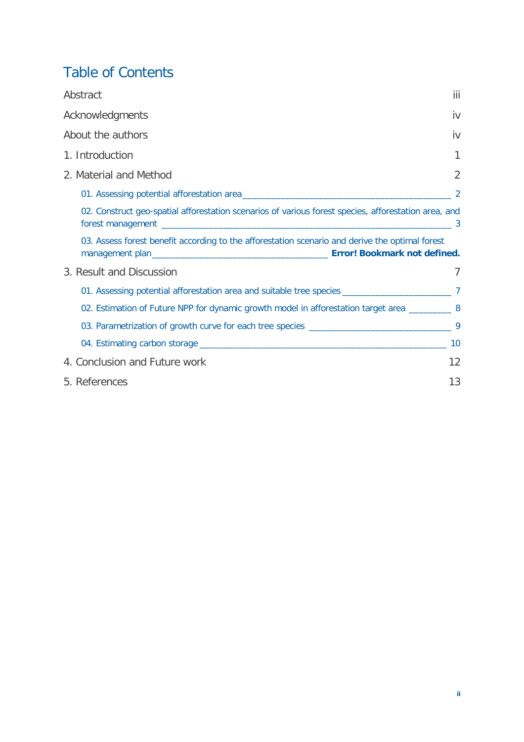# Table of Contents

| Abstract                                                                                             | iii            |
|------------------------------------------------------------------------------------------------------|----------------|
| Acknowledgments                                                                                      | iv             |
| About the authors                                                                                    | İV             |
| 1. Introduction                                                                                      |                |
| 2. Material and Method                                                                               | $\overline{2}$ |
|                                                                                                      | 2              |
| 02. Construct geo-spatial afforestation scenarios of various forest species, afforestation area, and |                |
| 03. Assess forest benefit according to the afforestation scenario and derive the optimal forest      |                |
| 3. Result and Discussion                                                                             |                |
|                                                                                                      |                |
| 02. Estimation of Future NPP for dynamic growth model in afforestation target area __________ 8      |                |
|                                                                                                      |                |
|                                                                                                      | 10             |
| 4. Conclusion and Future work                                                                        | 12             |
| 5. References                                                                                        | 13             |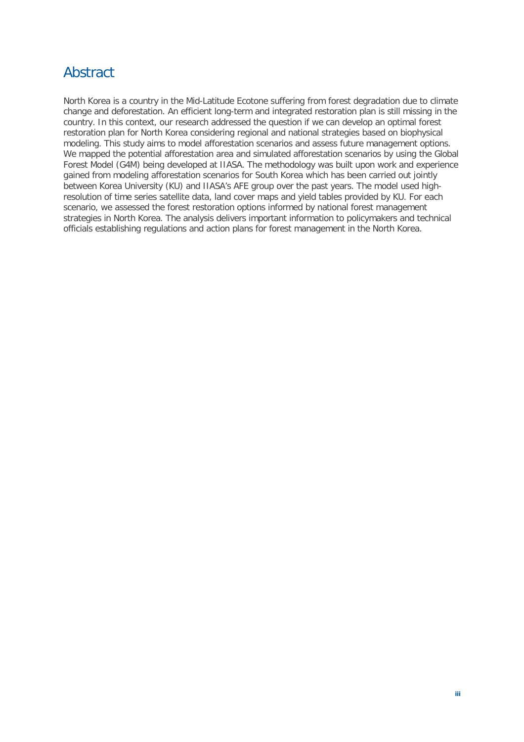# <span id="page-2-0"></span>Abstract

North Korea is a country in the Mid-Latitude Ecotone suffering from forest degradation due to climate change and deforestation. An efficient long-term and integrated restoration plan is still missing in the country. In this context, our research addressed the question if we can develop an optimal forest restoration plan for North Korea considering regional and national strategies based on biophysical modeling. This study aims to model afforestation scenarios and assess future management options. We mapped the potential afforestation area and simulated afforestation scenarios by using the Global Forest Model (G4M) being developed at IIASA. The methodology was built upon work and experience gained from modeling afforestation scenarios for South Korea which has been carried out jointly between Korea University (KU) and IIASA's AFE group over the past years. The model used highresolution of time series satellite data, land cover maps and yield tables provided by KU. For each scenario, we assessed the forest restoration options informed by national forest management strategies in North Korea. The analysis delivers important information to policymakers and technical officials establishing regulations and action plans for forest management in the North Korea.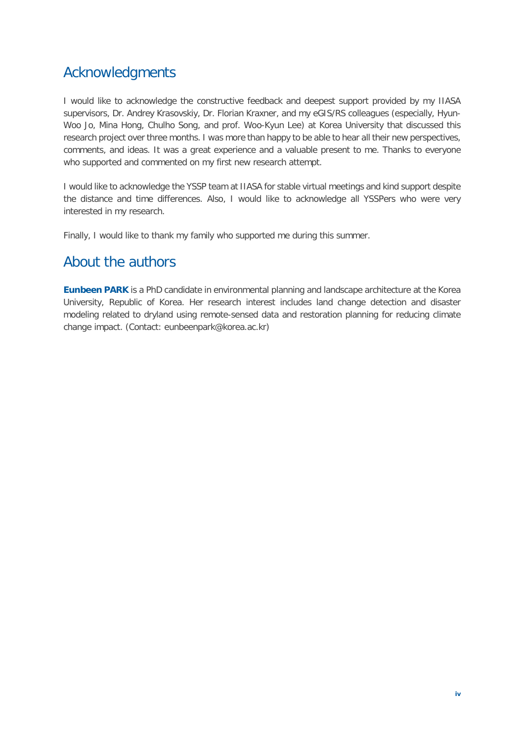# <span id="page-3-0"></span>Acknowledgments

I would like to acknowledge the constructive feedback and deepest support provided by my IIASA supervisors, Dr. Andrey Krasovskiy, Dr. Florian Kraxner, and my eGIS/RS colleagues (especially, Hyun-Woo Jo, Mina Hong, Chulho Song, and prof. Woo-Kyun Lee) at Korea University that discussed this research project over three months. I was more than happy to be able to hear all their new perspectives, comments, and ideas. It was a great experience and a valuable present to me. Thanks to everyone who supported and commented on my first new research attempt.

I would like to acknowledge the YSSP team at IIASA for stable virtual meetings and kind support despite the distance and time differences. Also, I would like to acknowledge all YSSPers who were very interested in my research.

Finally, I would like to thank my family who supported me during this summer.

# <span id="page-3-1"></span>About the authors

**Eunbeen PARK** is a PhD candidate in environmental planning and landscape architecture at the Korea University, Republic of Korea. Her research interest includes land change detection and disaster modeling related to dryland using remote-sensed data and restoration planning for reducing climate change impact. (Contact: eunbeenpar[k@korea.ac.kr\)](mailto:vinokurov_ey@eabr.org)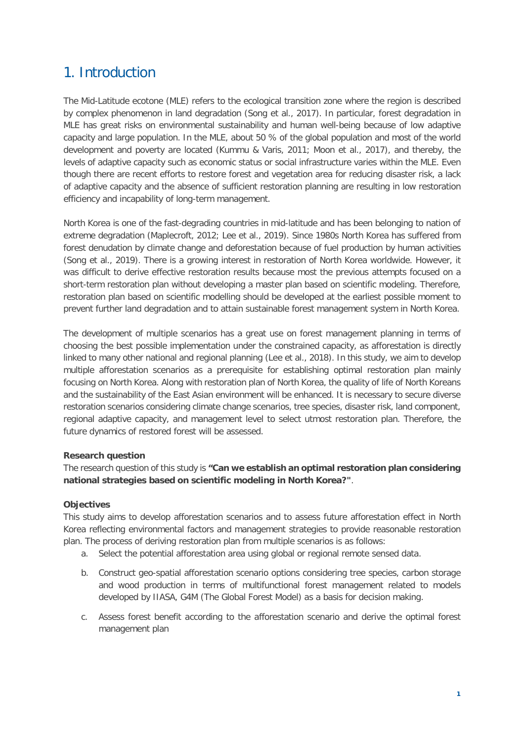# <span id="page-4-0"></span>1. Introduction

The Mid-Latitude ecotone (MLE) refers to the ecological transition zone where the region is described by complex phenomenon in land degradation (Song et al., 2017). In particular, forest degradation in MLE has great risks on environmental sustainability and human well-being because of low adaptive capacity and large population. In the MLE, about 50 % of the global population and most of the world development and poverty are located (Kummu & Varis, 2011; Moon et al., 2017), and thereby, the levels of adaptive capacity such as economic status or social infrastructure varies within the MLE. Even though there are recent efforts to restore forest and vegetation area for reducing disaster risk, a lack of adaptive capacity and the absence of sufficient restoration planning are resulting in low restoration efficiency and incapability of long-term management.

North Korea is one of the fast-degrading countries in mid-latitude and has been belonging to nation of extreme degradation (Maplecroft, 2012; Lee et al., 2019). Since 1980s North Korea has suffered from forest denudation by climate change and deforestation because of fuel production by human activities (Song et al., 2019). There is a growing interest in restoration of North Korea worldwide. However, it was difficult to derive effective restoration results because most the previous attempts focused on a short-term restoration plan without developing a master plan based on scientific modeling. Therefore, restoration plan based on scientific modelling should be developed at the earliest possible moment to prevent further land degradation and to attain sustainable forest management system in North Korea.

The development of multiple scenarios has a great use on forest management planning in terms of choosing the best possible implementation under the constrained capacity, as afforestation is directly linked to many other national and regional planning (Lee et al., 2018). In this study, we aim to develop multiple afforestation scenarios as a prerequisite for establishing optimal restoration plan mainly focusing on North Korea. Along with restoration plan of North Korea, the quality of life of North Koreans and the sustainability of the East Asian environment will be enhanced. It is necessary to secure diverse restoration scenarios considering climate change scenarios, tree species, disaster risk, land component, regional adaptive capacity, and management level to select utmost restoration plan. Therefore, the future dynamics of restored forest will be assessed.

#### **Research question**

The research question of this study is **"Can we establish an optimal restoration plan considering national strategies based on scientific modeling in North Korea?"**.

#### **Objectives**

This study aims to develop afforestation scenarios and to assess future afforestation effect in North Korea reflecting environmental factors and management strategies to provide reasonable restoration plan. The process of deriving restoration plan from multiple scenarios is as follows:

- a. Select the potential afforestation area using global or regional remote sensed data.
- b. Construct geo-spatial afforestation scenario options considering tree species, carbon storage and wood production in terms of multifunctional forest management related to models developed by IIASA, G4M (The Global Forest Model) as a basis for decision making.
- <span id="page-4-1"></span>c. Assess forest benefit according to the afforestation scenario and derive the optimal forest management plan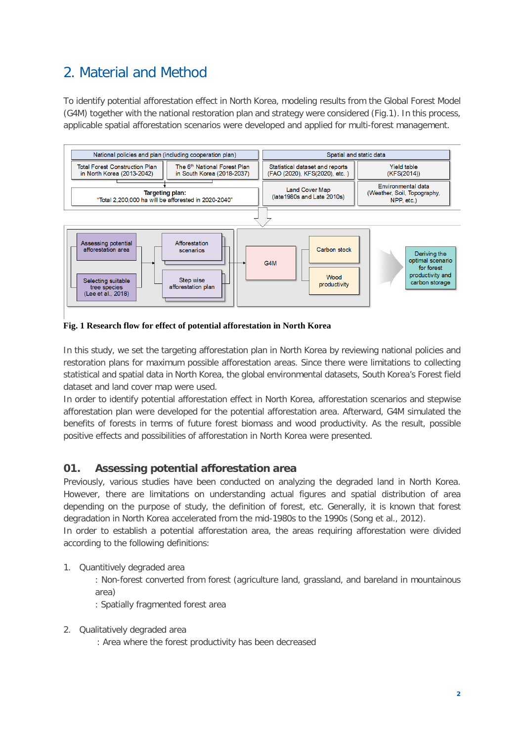# 2. Material and Method

To identify potential afforestation effect in North Korea, modeling results from the Global Forest Model (G4M) together with the national restoration plan and strategy were considered (Fig.1). In this process, applicable spatial afforestation scenarios were developed and applied for multi-forest management.



#### **Fig. 1 Research flow for effect of potential afforestation in North Korea**

In this study, we set the targeting afforestation plan in North Korea by reviewing national policies and restoration plans for maximum possible afforestation areas. Since there were limitations to collecting statistical and spatial data in North Korea, the global environmental datasets, South Korea's Forest field dataset and land cover map were used.

In order to identify potential afforestation effect in North Korea, afforestation scenarios and stepwise afforestation plan were developed for the potential afforestation area. Afterward, G4M simulated the benefits of forests in terms of future forest biomass and wood productivity. As the result, possible positive effects and possibilities of afforestation in North Korea were presented.

### <span id="page-5-0"></span>**01. Assessing potential afforestation area**

Previously, various studies have been conducted on analyzing the degraded land in North Korea. However, there are limitations on understanding actual figures and spatial distribution of area depending on the purpose of study, the definition of forest, etc. Generally, it is known that forest degradation in North Korea accelerated from the mid-1980s to the 1990s (Song et al., 2012).

In order to establish a potential afforestation area, the areas requiring afforestation were divided according to the following definitions:

1. Quantitively degraded area

: Non-forest converted from forest (agriculture land, grassland, and bareland in mountainous area)

- : Spatially fragmented forest area
- 2. Qualitatively degraded area
	- : Area where the forest productivity has been decreased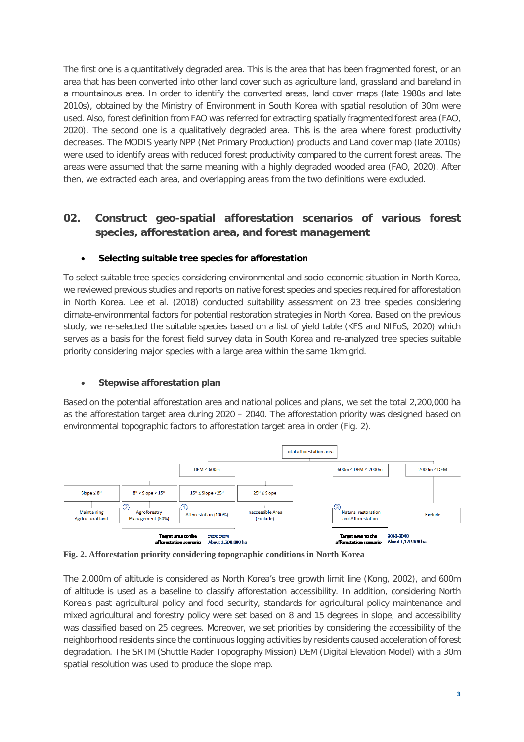The first one is a quantitatively degraded area. This is the area that has been fragmented forest, or an area that has been converted into other land cover such as agriculture land, grassland and bareland in a mountainous area. In order to identify the converted areas, land cover maps (late 1980s and late 2010s), obtained by the Ministry of Environment in South Korea with spatial resolution of 30m were used. Also, forest definition from FAO was referred for extracting spatially fragmented forest area (FAO, 2020). The second one is a qualitatively degraded area. This is the area where forest productivity decreases. The MODIS yearly NPP (Net Primary Production) products and Land cover map (late 2010s) were used to identify areas with reduced forest productivity compared to the current forest areas. The areas were assumed that the same meaning with a highly degraded wooded area (FAO, 2020). After then, we extracted each area, and overlapping areas from the two definitions were excluded.

## <span id="page-6-0"></span>**02. Construct geo-spatial afforestation scenarios of various forest species, afforestation area, and forest management**

#### • **Selecting suitable tree species for afforestation**

To select suitable tree species considering environmental and socio-economic situation in North Korea, we reviewed previous studies and reports on native forest species and species required for afforestation in North Korea. Lee et al. (2018) conducted suitability assessment on 23 tree species considering climate-environmental factors for potential restoration strategies in North Korea. Based on the previous study, we re-selected the suitable species based on a list of yield table (KFS and NIFoS, 2020) which serves as a basis for the forest field survey data in South Korea and re-analyzed tree species suitable priority considering major species with a large area within the same 1km grid.

#### • **Stepwise afforestation plan**

Based on the potential afforestation area and national polices and plans, we set the total 2,200,000 ha as the afforestation target area during 2020 – 2040. The afforestation priority was designed based on environmental topographic factors to afforestation target area in order (Fig. 2).



**Fig. 2. Afforestation priority considering topographic conditions in North Korea**

The 2,000m of altitude is considered as North Korea's tree growth limit line (Kong, 2002), and 600m of altitude is used as a baseline to classify afforestation accessibility. In addition, considering North Korea's past agricultural policy and food security, standards for agricultural policy maintenance and mixed agricultural and forestry policy were set based on 8 and 15 degrees in slope, and accessibility was classified based on 25 degrees. Moreover, we set priorities by considering the accessibility of the neighborhood residents since the continuous logging activities by residents caused acceleration of forest degradation. The SRTM (Shuttle Rader Topography Mission) DEM (Digital Elevation Model) with a 30m spatial resolution was used to produce the slope map.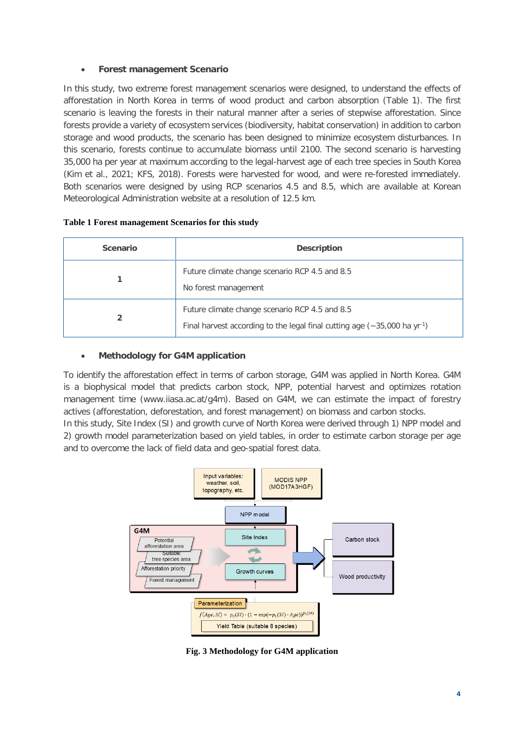#### • **Forest management Scenario**

In this study, two extreme forest management scenarios were designed, to understand the effects of afforestation in North Korea in terms of wood product and carbon absorption (Table 1). The first scenario is leaving the forests in their natural manner after a series of stepwise afforestation. Since forests provide a variety of ecosystem services (biodiversity, habitat conservation) in addition to carbon storage and wood products, the scenario has been designed to minimize ecosystem disturbances. In this scenario, forests continue to accumulate biomass until 2100. The second scenario is harvesting 35,000 ha per year at maximum according to the legal-harvest age of each tree species in South Korea (Kim et al., 2021; KFS, 2018). Forests were harvested for wood, and were re-forested immediately. Both scenarios were designed by using RCP scenarios 4.5 and 8.5, which are available at Korean Meteorological Administration website at a resolution of 12.5 km.

| <b>Scenario</b> | <b>Description</b>                                                                                                                      |
|-----------------|-----------------------------------------------------------------------------------------------------------------------------------------|
|                 | Future climate change scenario RCP 4.5 and 8.5<br>No forest management                                                                  |
|                 | Future climate change scenario RCP 4.5 and 8.5<br>Final harvest according to the legal final cutting age $(-35,000 \text{ ha yr}^{-1})$ |

#### **Table 1 Forest management Scenarios for this study**

#### • **Methodology for G4M application**

To identify the afforestation effect in terms of carbon storage, G4M was applied in North Korea. G4M is a biophysical model that predicts carbon stock, NPP, potential harvest and optimizes rotation management time (www.iiasa.ac.at/g4m). Based on G4M, we can estimate the impact of forestry actives (afforestation, deforestation, and forest management) on biomass and carbon stocks.

In this study, Site Index (SI) and growth curve of North Korea were derived through 1) NPP model and 2) growth model parameterization based on yield tables, in order to estimate carbon storage per age and to overcome the lack of field data and geo-spatial forest data.



**Fig. 3 Methodology for G4M application**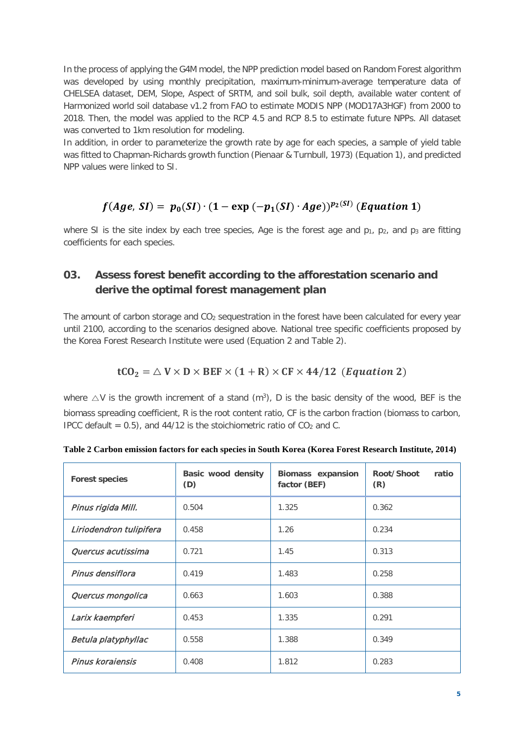In the process of applying the G4M model, the NPP prediction model based on Random Forest algorithm was developed by using monthly precipitation, maximum-minimum-average temperature data of CHELSEA dataset, DEM, Slope, Aspect of SRTM, and soil bulk, soil depth, available water content of Harmonized world soil database v1.2 from FAO to estimate MODIS NPP (MOD17A3HGF) from 2000 to 2018. Then, the model was applied to the RCP 4.5 and RCP 8.5 to estimate future NPPs. All dataset was converted to 1km resolution for modeling.

In addition, in order to parameterize the growth rate by age for each species, a sample of yield table was fitted to Chapman-Richards growth function (Pienaar & Turnbull, 1973) (Equation 1), and predicted NPP values were linked to SI.

# $f(Age, SI) = p_0(SI) \cdot (1 - \exp(-p_1(SI) \cdot Age))^{p_2(SI)}$  (Equation 1)

where SI is the site index by each tree species, Age is the forest age and  $p_1$ ,  $p_2$ , and  $p_3$  are fitting coefficients for each species.

### **03. Assess forest benefit according to the afforestation scenario and derive the optimal forest management plan**

The amount of carbon storage and  $CO<sub>2</sub>$  sequestration in the forest have been calculated for every year until 2100, according to the scenarios designed above. National tree specific coefficients proposed by the Korea Forest Research Institute were used (Equation 2 and Table 2).

### $tCO_2 = \triangle V \times D \times BEF \times (1 + R) \times CF \times 44/12$  (*Equation 2*)

where  $\triangle V$  is the growth increment of a stand  $(m^3)$ , D is the basic density of the wood, BEF is the biomass spreading coefficient, R is the root content ratio, CF is the carbon fraction (biomass to carbon, IPCC default =  $0.5$ ), and 44/12 is the stoichiometric ratio of CO<sub>2</sub> and C.

| <b>Forest species</b>   | Basic wood density<br>(D) | <b>Biomass expansion</b><br>factor (BEF) | Root/Shoot<br>ratio<br>(R) |
|-------------------------|---------------------------|------------------------------------------|----------------------------|
| Pinus rigida Mill.      | 0.504                     | 1.325                                    | 0.362                      |
| Liriodendron tulipifera | 0.458                     | 1.26                                     | 0.234                      |
| Quercus acutissima      | 0.721                     | 1.45                                     | 0.313                      |
| Pinus densiflora        | 0.419                     | 1.483                                    | 0.258                      |
| Quercus mongolica       | 0.663                     | 1.603                                    | 0.388                      |
| Larix kaempferi         | 0.453                     | 1.335                                    | 0.291                      |
| Betula platyphyllac     | 0.558                     | 1.388                                    | 0.349                      |
| Pinus koraiensis        | 0.408                     | 1.812                                    | 0.283                      |

**Table 2 Carbon emission factors for each species in South Korea (Korea Forest Research Institute, 2014)**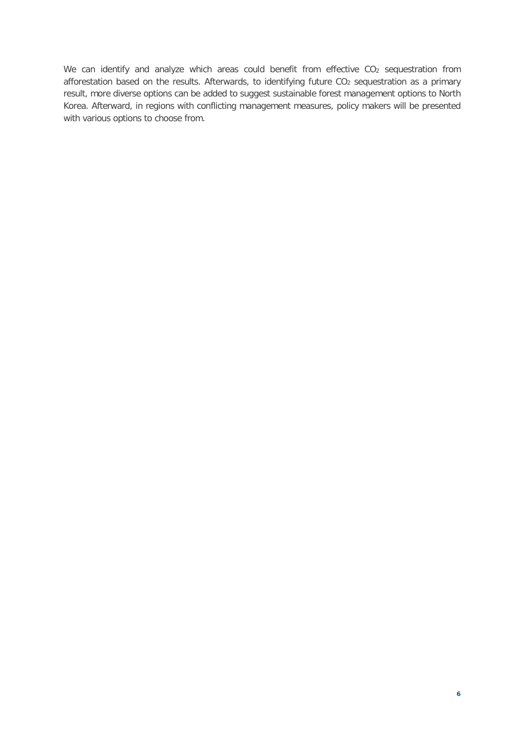We can identify and analyze which areas could benefit from effective CO<sub>2</sub> sequestration from afforestation based on the results. Afterwards, to identifying future CO<sub>2</sub> sequestration as a primary result, more diverse options can be added to suggest sustainable forest management options to North Korea. Afterward, in regions with conflicting management measures, policy makers will be presented with various options to choose from.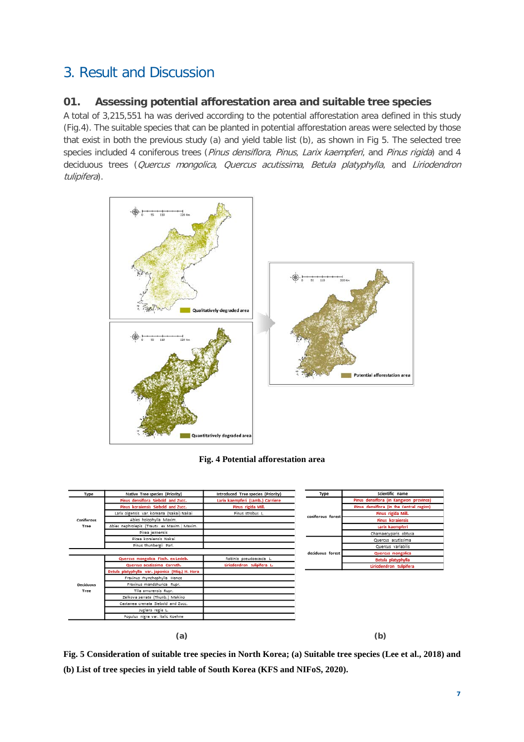# <span id="page-10-0"></span>3. Result and Discussion

### <span id="page-10-1"></span>**01. Assessing potential afforestation area and suitable tree species**

A total of 3,215,551 ha was derived according to the potential afforestation area defined in this study (Fig.4). The suitable species that can be planted in potential afforestation areas were selected by those that exist in both the previous study (a) and yield table list (b), as shown in Fig 5. The selected tree species included 4 coniferous trees (Pinus densiflora, Pinus, Larix kaempferi, and Pinus rigida) and 4 deciduous trees (Quercus mongolica, Quercus acutissima, Betula platyphylla, and Liriodendron tulipifera).



#### **Fig. 4 Potential afforestation area**

| Type               | Native Tree species (Priority)                  | Introduced Tree species (Priority) | Type              | Scientific name                 |
|--------------------|-------------------------------------------------|------------------------------------|-------------------|---------------------------------|
| Coniferous<br>Tree | Pinus densiflora Siebold and Zucc.              | Larix kaempferi (Lamb.) Carriere   |                   | Pinus densiflora (in Kangwon    |
|                    | Pinus koraiensis Siebold and Zucc.              | Pinus rigida Mill.                 |                   | Pinus densiflora (in the Centra |
|                    | Larix olgensis var. koreana (Nakai) Nakai       | Pinus strobus L.                   | coniferous forest | Pinus rigida Mill.              |
|                    | Abies holophylla Maxim.                         |                                    |                   | <b>Pinus koraiensis</b>         |
|                    | Abies nephrolepis (Trautv. ex Maxim.) Maxim.    |                                    |                   | Larix kaempferi                 |
|                    | Picea iezoensis                                 |                                    |                   | Chamaecyparis obtusa            |
|                    | Picea koraiensis Nakai                          |                                    |                   | Quercus acutissima              |
|                    | Pinus thunbergii Parl.                          |                                    |                   | Quercus variabilis              |
|                    |                                                 |                                    | deciduous forest  | Quercus mongolica               |
|                    | Quercus mongolica Fisch. ex Ledeb.              | Robinia pseudoacacia L.            |                   | Betula platyphylla              |
|                    | Quercus acutissima Carruth.                     | Liriodendron tulipifera L.         |                   | Liriodendron tulipifera         |
|                    | Betula platyphylla var. japonica (Miq.) H. Hara |                                    |                   |                                 |
|                    | Fraxinus rhynchophylla Hance                    |                                    |                   |                                 |
| <b>Deciduous</b>   | Fraxinus mandshurica Rupr.                      |                                    |                   |                                 |
| Tree               | Tilla amurensis Rupr.                           |                                    |                   |                                 |
|                    | Zelkova serrate (Thunb.) Makino                 |                                    |                   |                                 |
|                    | Castanea crenata Siebold and Zucc.              |                                    |                   |                                 |
|                    |                                                 |                                    |                   |                                 |
|                    | Juglans regia L.                                |                                    |                   |                                 |

**Fig. 5 Consideration of suitable tree species in North Korea; (a) Suitable tree species (Lee et al., 2018) and (b) List of tree species in yield table of South Korea (KFS and NIFoS, 2020).**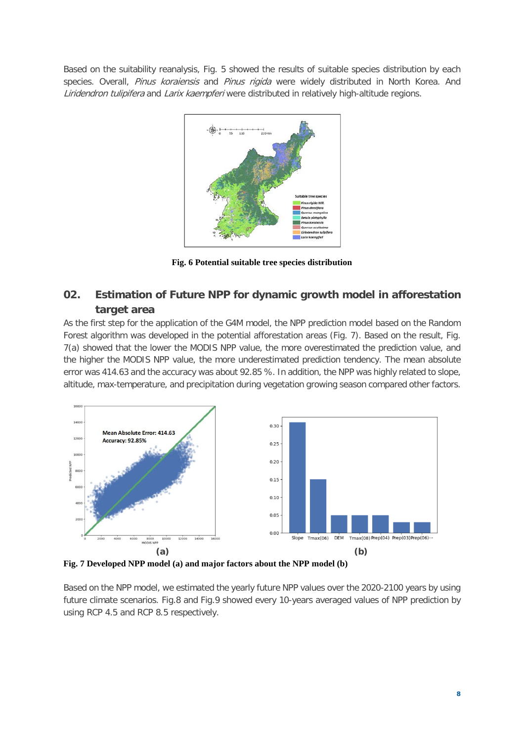Based on the suitability reanalysis, Fig. 5 showed the results of suitable species distribution by each species. Overall, Pinus koraiensis and Pinus rigida were widely distributed in North Korea. And Liridendron tulipifera and Larix kaempferi were distributed in relatively high-altitude regions.



**Fig. 6 Potential suitable tree species distribution**

### <span id="page-11-0"></span>**02. Estimation of Future NPP for dynamic growth model in afforestation target area**

As the first step for the application of the G4M model, the NPP prediction model based on the Random Forest algorithm was developed in the potential afforestation areas (Fig. 7). Based on the result, Fig. 7(a) showed that the lower the MODIS NPP value, the more overestimated the prediction value, and the higher the MODIS NPP value, the more underestimated prediction tendency. The mean absolute error was 414.63 and the accuracy was about 92.85 %. In addition, the NPP was highly related to slope, altitude, max-temperature, and precipitation during vegetation growing season compared other factors.



**Fig. 7 Developed NPP model (a) and major factors about the NPP model (b)**

Based on the NPP model, we estimated the yearly future NPP values over the 2020-2100 years by using future climate scenarios. Fig.8 and Fig.9 showed every 10-years averaged values of NPP prediction by using RCP 4.5 and RCP 8.5 respectively.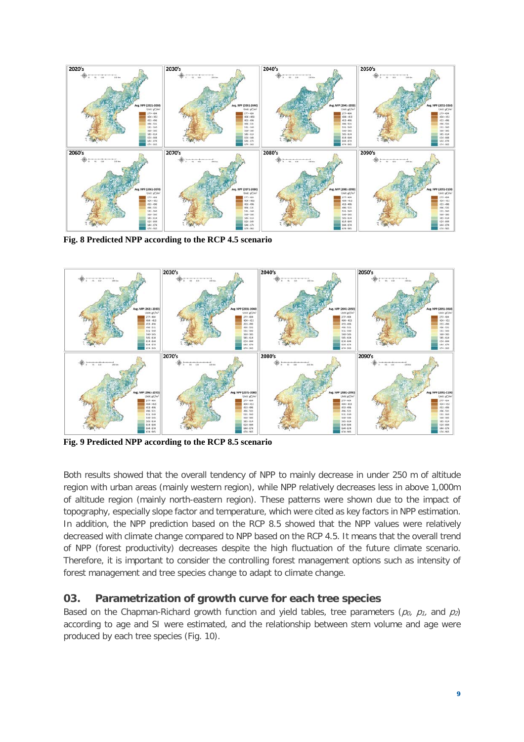

**Fig. 8 Predicted NPP according to the RCP 4.5 scenario**



**Fig. 9 Predicted NPP according to the RCP 8.5 scenario**

Both results showed that the overall tendency of NPP to mainly decrease in under 250 m of altitude region with urban areas (mainly western region), while NPP relatively decreases less in above 1,000m of altitude region (mainly north-eastern region). These patterns were shown due to the impact of topography, especially slope factor and temperature, which were cited as key factors in NPP estimation. In addition, the NPP prediction based on the RCP 8.5 showed that the NPP values were relatively decreased with climate change compared to NPP based on the RCP 4.5. It means that the overall trend of NPP (forest productivity) decreases despite the high fluctuation of the future climate scenario. Therefore, it is important to consider the controlling forest management options such as intensity of forest management and tree species change to adapt to climate change.

#### <span id="page-12-0"></span>**03. Parametrization of growth curve for each tree species**

Based on the Chapman-Richard growth function and yield tables, tree parameters ( $p_0$ ,  $p_1$ , and  $p_2$ ) according to age and SI were estimated, and the relationship between stem volume and age were produced by each tree species (Fig. 10).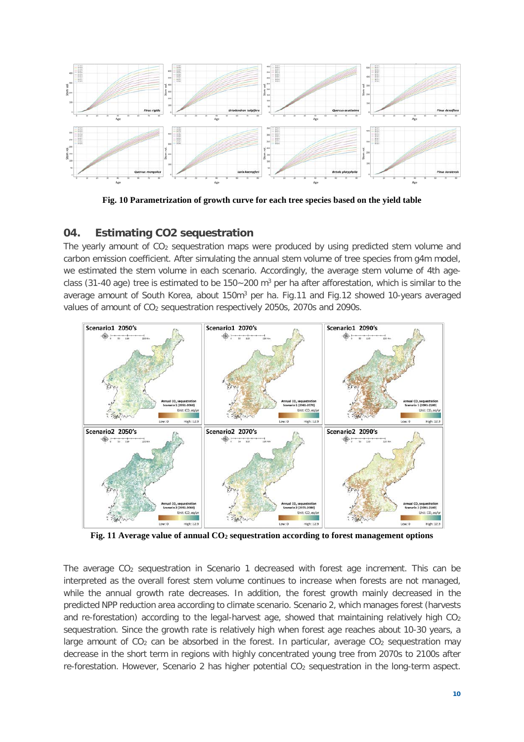

**Fig. 10 Parametrization of growth curve for each tree species based on the yield table**

### <span id="page-13-0"></span>**04. Estimating CO2 sequestration**

The yearly amount of CO<sub>2</sub> sequestration maps were produced by using predicted stem volume and carbon emission coefficient. After simulating the annual stem volume of tree species from g4m model, we estimated the stem volume in each scenario. Accordingly, the average stem volume of 4th ageclass (31-40 age) tree is estimated to be  $150 - 200$  m<sup>3</sup> per ha after afforestation, which is similar to the average amount of South Korea, about 150m<sup>3</sup> per ha. Fig.11 and Fig.12 showed 10-years averaged values of amount of CO2 sequestration respectively 2050s, 2070s and 2090s.



**Fig. 11 Average value of annual CO2 sequestration according to forest management options**

The average CO2 sequestration in Scenario 1 decreased with forest age increment. This can be interpreted as the overall forest stem volume continues to increase when forests are not managed, while the annual growth rate decreases. In addition, the forest growth mainly decreased in the predicted NPP reduction area according to climate scenario. Scenario 2, which manages forest (harvests and re-forestation) according to the legal-harvest age, showed that maintaining relatively high  $CO<sub>2</sub>$ sequestration. Since the growth rate is relatively high when forest age reaches about 10-30 years, a large amount of  $CO<sub>2</sub>$  can be absorbed in the forest. In particular, average  $CO<sub>2</sub>$  sequestration may decrease in the short term in regions with highly concentrated young tree from 2070s to 2100s after re-forestation. However, Scenario 2 has higher potential CO<sub>2</sub> sequestration in the long-term aspect.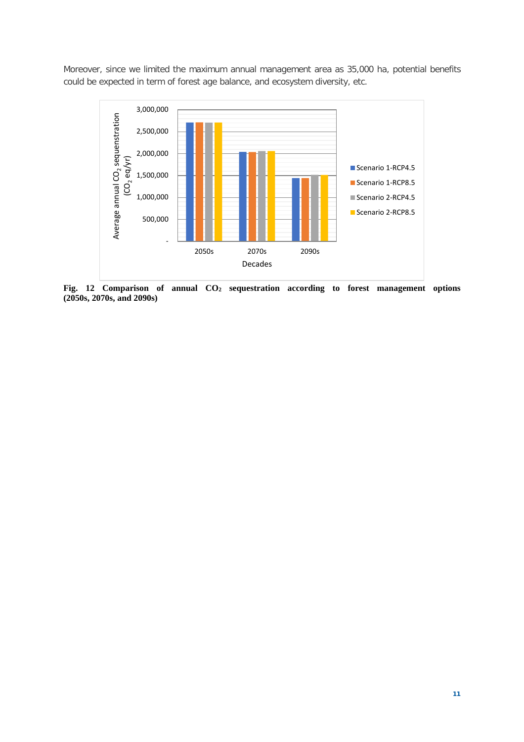Moreover, since we limited the maximum annual management area as 35,000 ha, potential benefits could be expected in term of forest age balance, and ecosystem diversity, etc.



**Fig. 12 Comparison of annual CO2 sequestration according to forest management options (2050s, 2070s, and 2090s)**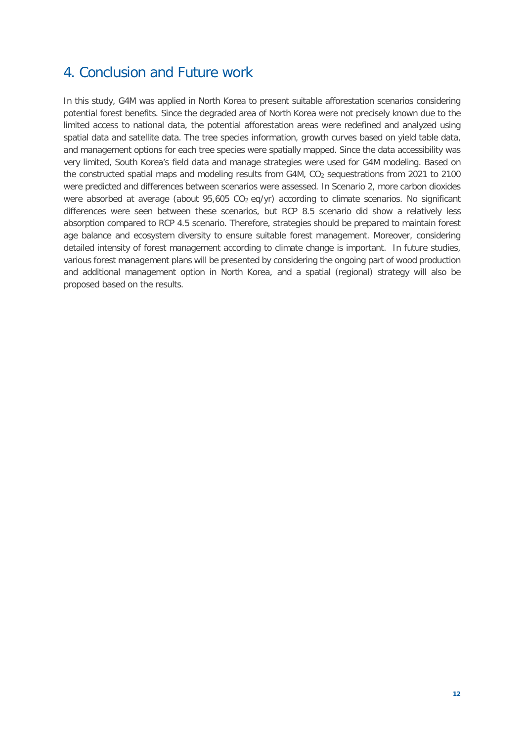# <span id="page-15-0"></span>4. Conclusion and Future work

In this study, G4M was applied in North Korea to present suitable afforestation scenarios considering potential forest benefits. Since the degraded area of North Korea were not precisely known due to the limited access to national data, the potential afforestation areas were redefined and analyzed using spatial data and satellite data. The tree species information, growth curves based on yield table data, and management options for each tree species were spatially mapped. Since the data accessibility was very limited, South Korea's field data and manage strategies were used for G4M modeling. Based on the constructed spatial maps and modeling results from G4M, CO<sub>2</sub> sequestrations from 2021 to 2100 were predicted and differences between scenarios were assessed. In Scenario 2, more carbon dioxides were absorbed at average (about  $95,605$  CO<sub>2</sub> eq/yr) according to climate scenarios. No significant differences were seen between these scenarios, but RCP 8.5 scenario did show a relatively less absorption compared to RCP 4.5 scenario. Therefore, strategies should be prepared to maintain forest age balance and ecosystem diversity to ensure suitable forest management. Moreover, considering detailed intensity of forest management according to climate change is important. In future studies, various forest management plans will be presented by considering the ongoing part of wood production and additional management option in North Korea, and a spatial (regional) strategy will also be proposed based on the results.